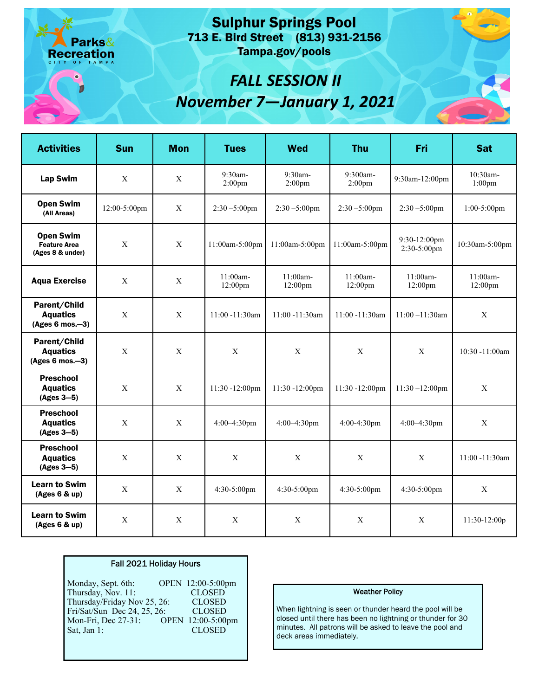713 E. Bird Street (813) 931-2156 Sulphur Springs Pool Tampa.gov/pools

# *FALL SESSION II November 7—January 1, 2021*

| <b>Activities</b>                                           | <b>Sun</b>                | <b>Mon</b>                | <b>Tues</b>                   | Wed                  | <b>Thu</b>            | Fri                            | <b>Sat</b>            |
|-------------------------------------------------------------|---------------------------|---------------------------|-------------------------------|----------------------|-----------------------|--------------------------------|-----------------------|
| <b>Lap Swim</b>                                             | $\boldsymbol{\mathrm{X}}$ | $\boldsymbol{\mathrm{X}}$ | 9:30am-<br>2:00 <sub>pm</sub> | 9:30am-<br>$2:00$ pm | 9:300am-<br>$2:00$ pm | 9:30am-12:00pm                 | 10:30am-<br>$1:00$ pm |
| <b>Open Swim</b><br>(All Areas)                             | 12:00-5:00pm              | X                         | $2:30 - 5:00$ pm              | $2:30 - 5:00$ pm     | $2:30 - 5:00$ pm      | $2:30 - 5:00$ pm               | $1:00-5:00$ pm        |
| <b>Open Swim</b><br><b>Feature Area</b><br>(Ages 8 & under) | $\mathbf X$               | $\mathbf X$               | 11:00am-5:00pm                | 11:00am-5:00pm       | 11:00am-5:00pm        | 9:30-12:00pm<br>$2:30-5:00$ pm | 10:30am-5:00pm        |
| <b>Aqua Exercise</b>                                        | $\mathbf X$               | $\mathbf X$               | 11:00am-<br>12:00pm           | 11:00am-<br>12:00pm  | 11:00am-<br>12:00pm   | 11:00am-<br>12:00pm            | 11:00am-<br>12:00pm   |
| Parent/Child<br><b>Aquatics</b><br>$(Ages 6 mos.-3)$        | $\mathbf X$               | $\mathbf X$               | 11:00 -11:30am                | 11:00 -11:30am       | 11:00 -11:30am        | $11:00 - 11:30$ am             | $\mathbf X$           |
| Parent/Child<br><b>Aquatics</b><br>$(Ages 6 mos.-3)$        | $\mathbf X$               | $\mathbf X$               | $\mathbf X$                   | $\mathbf X$          | $\mathbf X$           | $\mathbf X$                    | 10:30 -11:00am        |
| <b>Preschool</b><br><b>Aquatics</b><br>$(Ages 3-5)$         | $\mathbf X$               | $\mathbf X$               | 11:30 -12:00pm                | 11:30 -12:00pm       | 11:30 -12:00pm        | $11:30 - 12:00$ pm             | $\mathbf X$           |
| <b>Preschool</b><br><b>Aquatics</b><br>$(Ages 3-5)$         | $\mathbf{X}$              | X                         | $4:00 - 4:30$ pm              | $4:00-4:30$ pm       | 4:00-4:30pm           | $4:00 - 4:30$ pm               | $\mathbf X$           |
| <b>Preschool</b><br><b>Aquatics</b><br>(Ages 3-5)           | $\mathbf X$               | $\mathbf X$               | $\mathbf X$                   | $\mathbf X$          | $\mathbf X$           | $\mathbf X$                    | 11:00 -11:30am        |
| <b>Learn to Swim</b><br>(Ages 6 & up)                       | $\mathbf X$               | $\mathbf X$               | 4:30-5:00pm                   | 4:30-5:00pm          | 4:30-5:00pm           | 4:30-5:00pm                    | $\mathbf X$           |
| <b>Learn to Swim</b><br>(Ages 6 & up)                       | $\mathbf X$               | $\mathbf X$               | $\mathbf X$                   | $\mathbf X$          | $\mathbf X$           | $\mathbf X$                    | 11:30-12:00p          |

## Fall 2021 Holiday Hours

arks&

Recreation

Monday, Sept. 6th: Mon-Fri, Dec 27-31: OPEN 12:00-5:00pm OPEN 12:00-5:00pm<br>CLOSED Thursday, Nov. 11: CLOSED<br>Thursday/Friday Nov 25, 26: CLOSED Thursday/Friday Nov 25, 26: CLOSED Fri/Sat/Sun Dec 24, 25, 26: CLOSED Sat, Jan 1: CLOSED

### Weather Policy

When lightning is seen or thunder heard the pool will be closed until there has been no lightning or thunder for 30 minutes. All patrons will be asked to leave the pool and deck areas immediately.